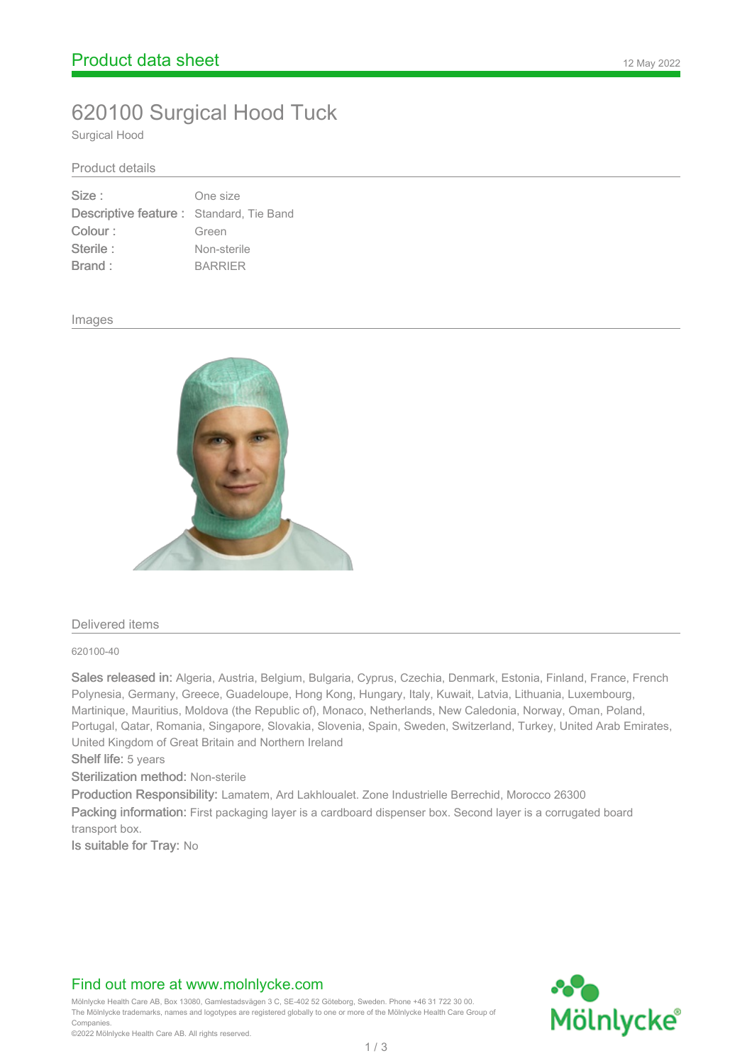# 620100 Surgical Hood Tuck

Surgical Hood

#### Product details

| Size:                                    | One size       |
|------------------------------------------|----------------|
| Descriptive feature : Standard, Tie Band |                |
| Colour:                                  | Green          |
| Sterile:                                 | Non-sterile    |
| Brand:                                   | <b>BARRIER</b> |

#### Images



#### Delivered items

620100-40

Sales released in: Algeria, Austria, Belgium, Bulgaria, Cyprus, Czechia, Denmark, Estonia, Finland, France, French Polynesia, Germany, Greece, Guadeloupe, Hong Kong, Hungary, Italy, Kuwait, Latvia, Lithuania, Luxembourg, Martinique, Mauritius, Moldova (the Republic of), Monaco, Netherlands, New Caledonia, Norway, Oman, Poland, Portugal, Qatar, Romania, Singapore, Slovakia, Slovenia, Spain, Sweden, Switzerland, Turkey, United Arab Emirates, United Kingdom of Great Britain and Northern Ireland

Shelf life: 5 years

Sterilization method: Non-sterile

Production Responsibility: Lamatem, Ard Lakhloualet. Zone Industrielle Berrechid, Morocco 26300

Packing information: First packaging layer is a cardboard dispenser box. Second layer is a corrugated board transport box.

Is suitable for Tray: No

# Find out more at www.molnlycke.com

Mölnlycke Health Care AB, Box 13080, Gamlestadsvägen 3 C, SE-402 52 Göteborg, Sweden. Phone +46 31 722 30 00. The Mölnlycke trademarks, names and logotypes are registered globally to one or more of the Mölnlycke Health Care Group of **Companies** 

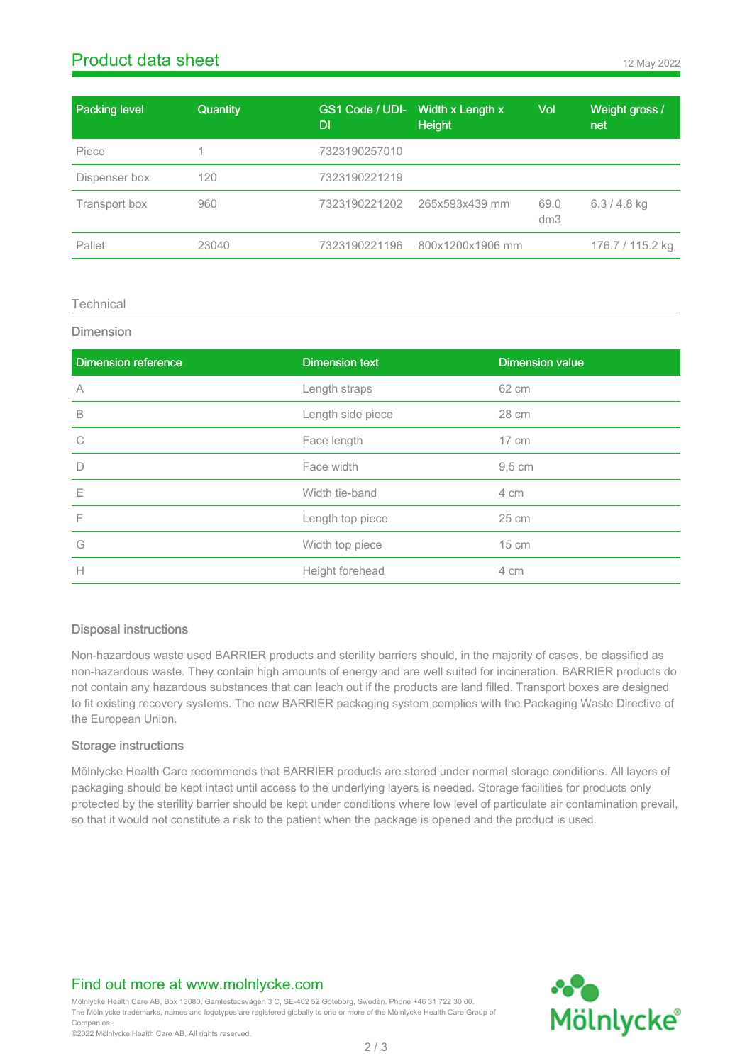# **Product data sheet** 12 May 2022

| <b>Packing level</b> | <b>Quantity</b> | DI            | GS1 Code / UDI- Width x Length x<br><b>Height</b> | Vol         | Weight gross /<br>net |
|----------------------|-----------------|---------------|---------------------------------------------------|-------------|-----------------------|
| Piece                |                 | 7323190257010 |                                                   |             |                       |
| Dispenser box        | 120             | 7323190221219 |                                                   |             |                       |
| Transport box        | 960             | 7323190221202 | 265x593x439 mm                                    | 69.0<br>dm3 | $6.3 / 4.8$ kg        |
| Pallet               | 23040           | 7323190221196 | 800x1200x1906 mm                                  |             | 176.7 / 115.2 kg      |

#### **Technical**

#### Dimension

| <b>Dimension reference</b> | <b>Dimension text</b> | <b>Dimension value</b> |
|----------------------------|-----------------------|------------------------|
| A                          | Length straps         | 62 cm                  |
| B                          | Length side piece     | 28 cm                  |
| C                          | Face length           | $17 \text{ cm}$        |
| $\Box$                     | Face width            | $9.5 \text{ cm}$       |
| Ε                          | Width tie-band        | 4 cm                   |
| F                          | Length top piece      | 25 cm                  |
| G                          | Width top piece       | $15 \text{ cm}$        |
| $\mathsf{H}$               | Height forehead       | 4 cm                   |

#### Disposal instructions

Non-hazardous waste used BARRIER products and sterility barriers should, in the majority of cases, be classified as non-hazardous waste. They contain high amounts of energy and are well suited for incineration. BARRIER products do not contain any hazardous substances that can leach out if the products are land filled. Transport boxes are designed to fit existing recovery systems. The new BARRIER packaging system complies with the Packaging Waste Directive of the European Union.

#### Storage instructions

Mölnlycke Health Care recommends that BARRIER products are stored under normal storage conditions. All layers of packaging should be kept intact until access to the underlying layers is needed. Storage facilities for products only protected by the sterility barrier should be kept under conditions where low level of particulate air contamination prevail, so that it would not constitute a risk to the patient when the package is opened and the product is used.

# Find out more at www.molnlycke.com

Mölnlycke Health Care AB, Box 13080, Gamlestadsvägen 3 C, SE-402 52 Göteborg, Sweden. Phone +46 31 722 30 00. The Mölnlycke trademarks, names and logotypes are registered globally to one or more of the Mölnlycke Health Care Group of **Companies** 

2 / 3